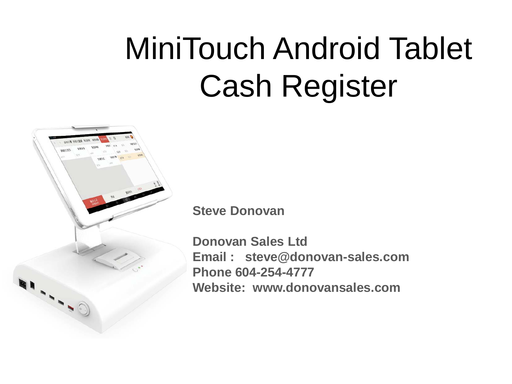# MiniTouch Android Tablet Cash Register



**Steve Donovan**

**Donovan Sales Ltd Email : steve@donovan-sales.com Phone 604-254-4777 Website: www.donovansales.com**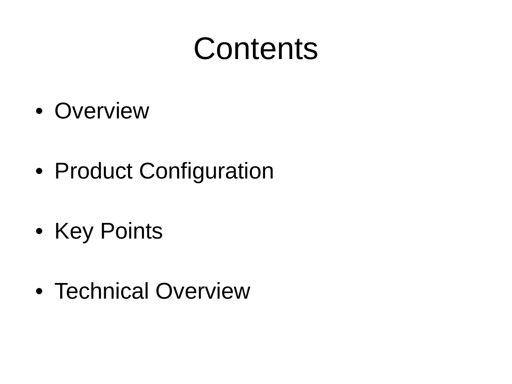#### **Contents**

- Overview
- Product Configuration
- Key Points
- Technical Overview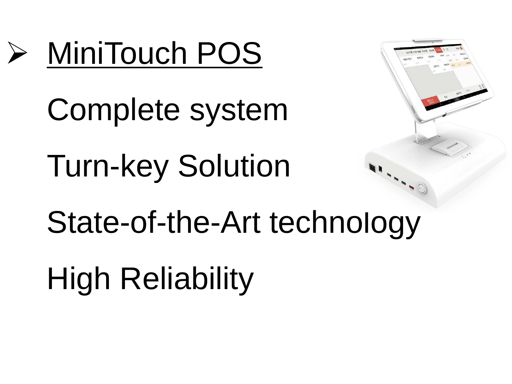

Complete system Turn-key Solution State-of-the-Art technology High Reliability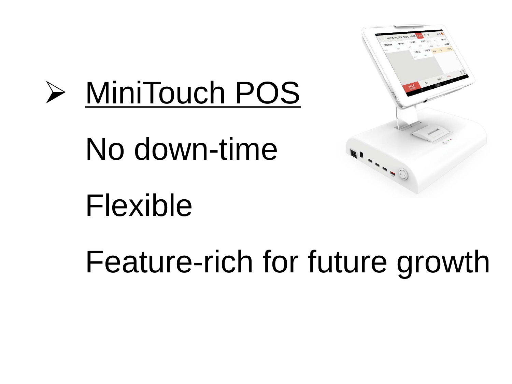

No down-time



# Flexible

Feature-rich for future growth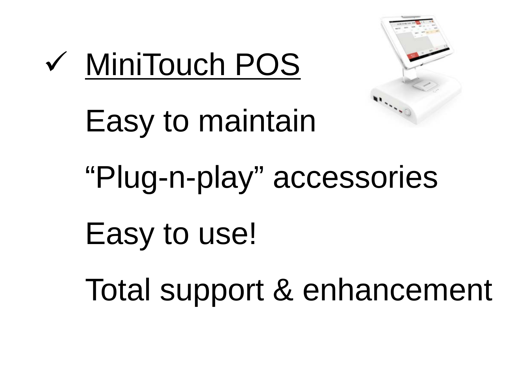

#### MiniTouch POS

# Easy to maintain "Plug-n-play" accessories Easy to use! Total support & enhancement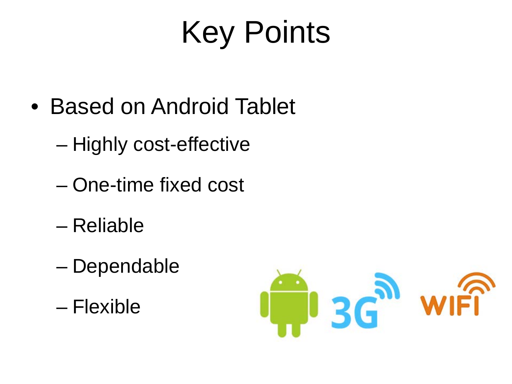# Key Points

- Based on Android Tablet
	- Highly cost-effective
	- One-time fixed cost
	- Reliable
	- Dependable
	- Flexible

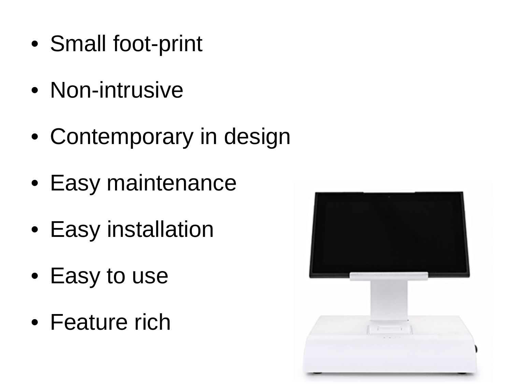- Small foot-print
- Non-intrusive
- Contemporary in design
- Easy maintenance
- Easy installation
- Easy to use
- Feature rich

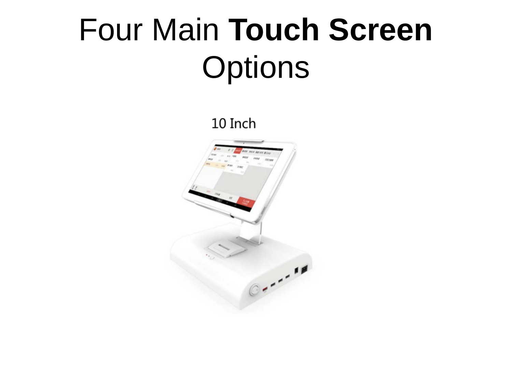## Four Main **Touch Screen Options**

10 Inch

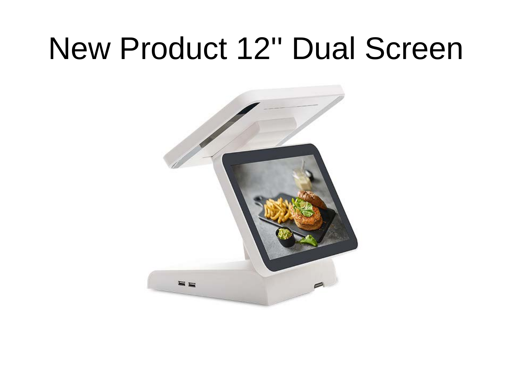#### New Product 12'' Dual Screen

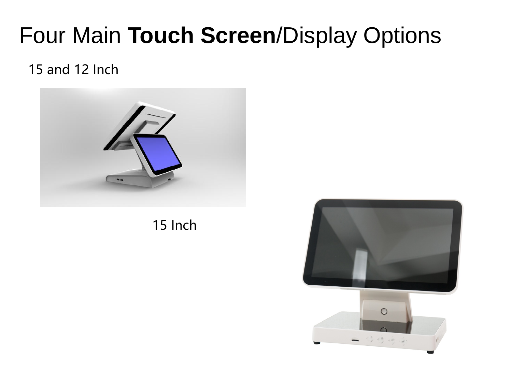#### Four Main **Touch Screen**/Display Options

#### 15 and 12 Inch



15 Inch

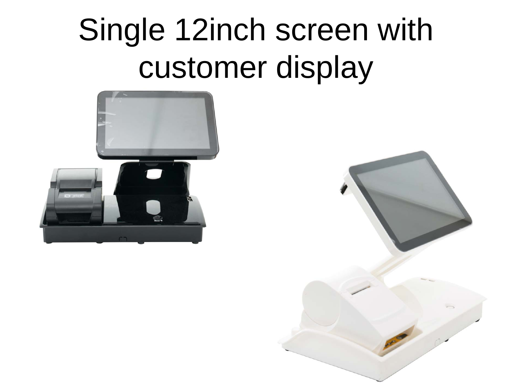## Single 12inch screen with customer display



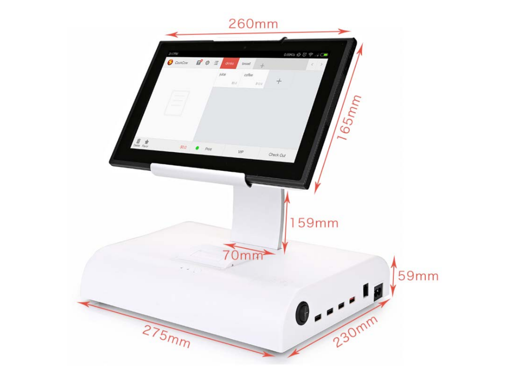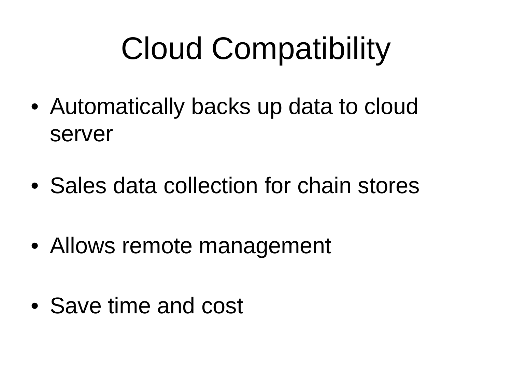## Cloud Compatibility

- Automatically backs up data to cloud server
- Sales data collection for chain stores
- Allows remote management
- Save time and cost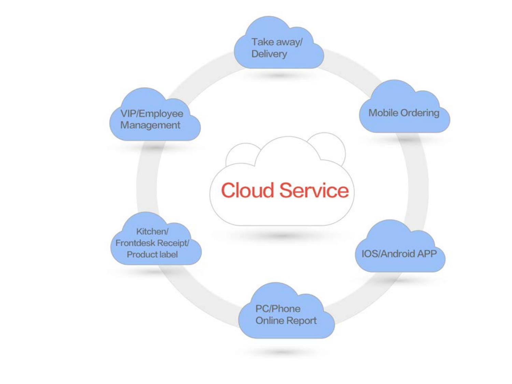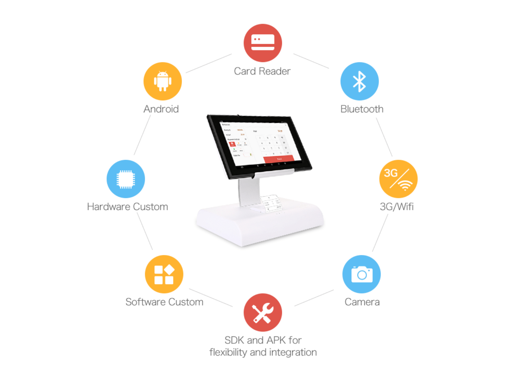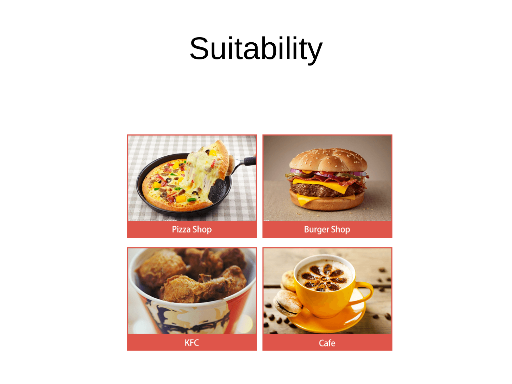#### Suitability



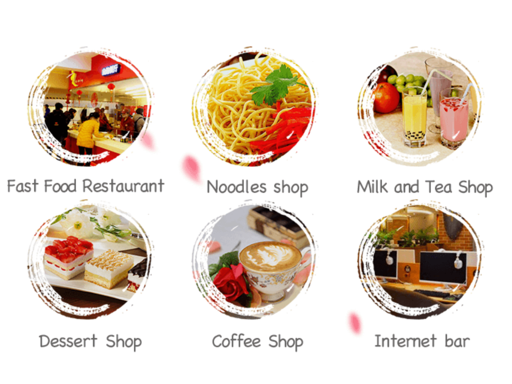

#### Fast Food Restaurant



Dessert Shop



Noodles shop



Coffee Shop



Milk and Tea Shop



Internet bar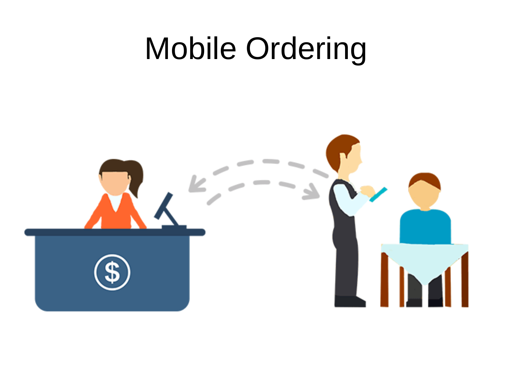#### Mobile Ordering

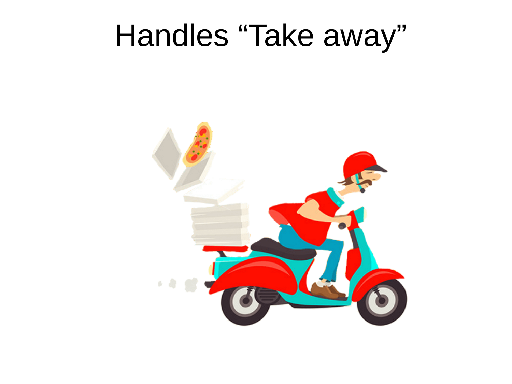#### Handles "Take away"

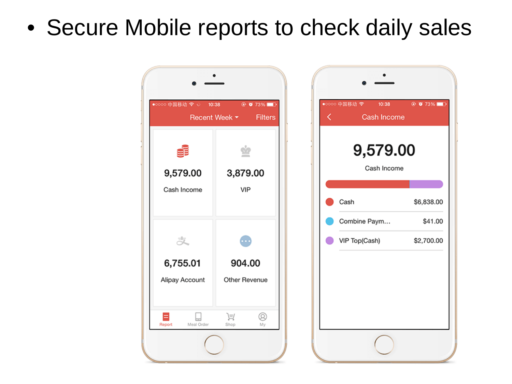#### • Secure Mobile reports to check daily sales

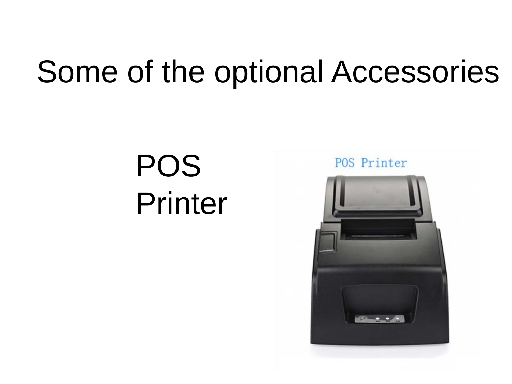#### Some of the optional Accessories

POS Printer

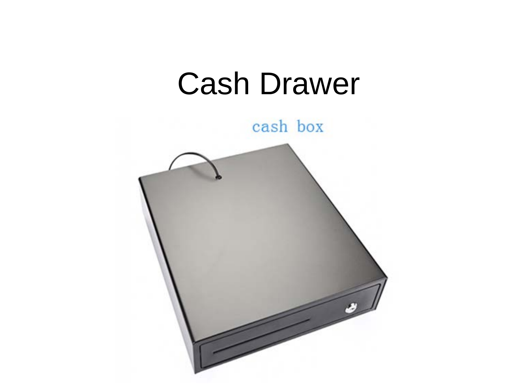



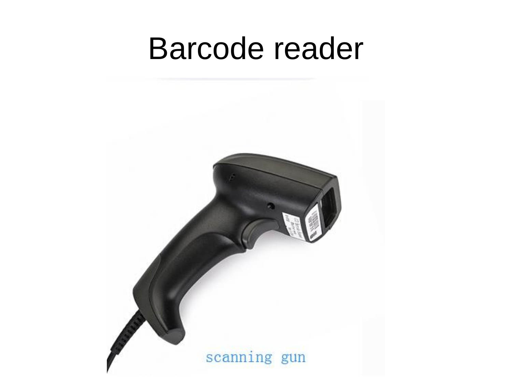#### Barcode reader

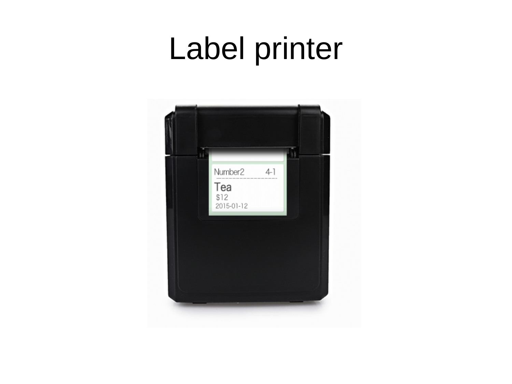#### Label printer

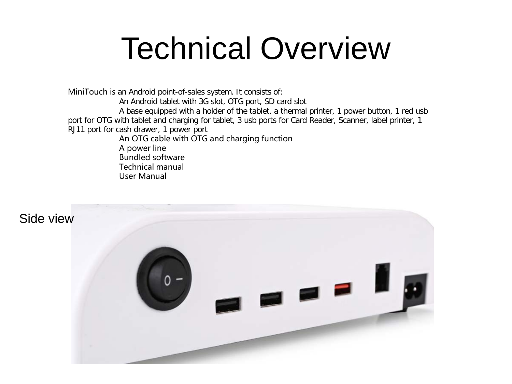#### Technical Overview

MiniTouch is an Android point-of-sales system. It consists of: An Android tablet with 3G slot, OTG port, SD card slot A base equipped with a holder of the tablet, a thermal printer, 1 power button, 1 red usb port for OTG with tablet and charging for tablet, 3 usb ports for Card Reader, Scanner, label printer, 1 RJ11 port for cash drawer, 1 power port An OTG cable with OTG and charging function A power line Bundled software Technical manual User Manual

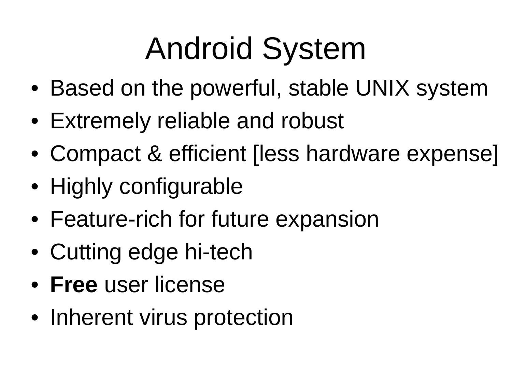# Android System

- Based on the powerful, stable UNIX system
- Extremely reliable and robust
- Compact & efficient [less hardware expense]
- Highly configurable
- Feature-rich for future expansion
- Cutting edge hi-tech
- **Free** user license
- Inherent virus protection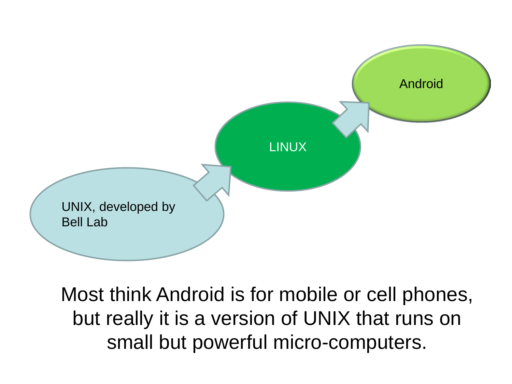

Most think Android is for mobile or cell phones, but really it is a version of UNIX that runs on small but powerful micro-computers.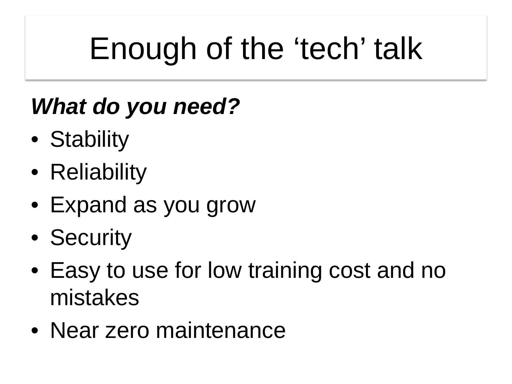# Enough of the 'tech' talk

#### *What do you need?*

- Stability
- Reliability
- Expand as you grow
- Security
- Easy to use for low training cost and no mistakes
- Near zero maintenance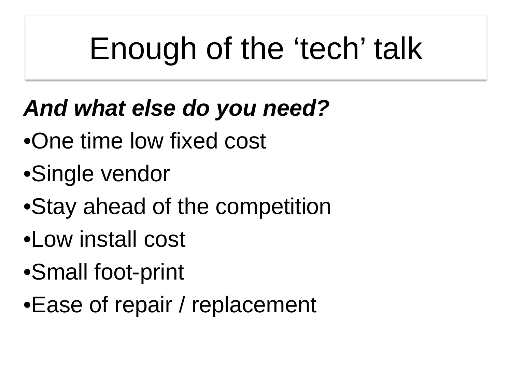# Enough of the 'tech' talk

#### *And what else do you need?*

- •One time low fixed cost
- •Single vendor
- •Stay ahead of the competition
- •Low install cost
- •Small foot-print
- •Ease of repair / replacement